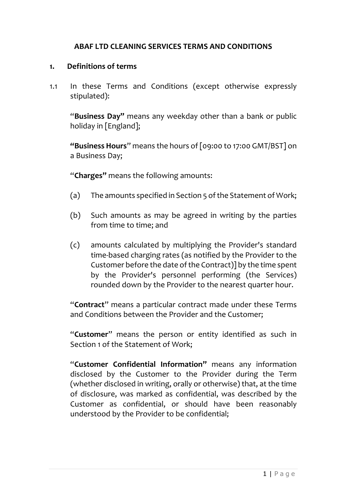### **ABAF LTD CLEANING SERVICES TERMS AND CONDITIONS**

#### **1. Definitions of terms**

1.1 In these Terms and Conditions (except otherwise expressly stipulated):

"**Business Day"** means any weekday other than a bank or public holiday in [England];

**"Business Hours**" means the hours of [09:00 to 17:00 GMT/BST] on a Business Day;

"**Charges"** means the following amounts:

- (a) The amounts specified in Section 5 of the Statement of Work;
- (b) Such amounts as may be agreed in writing by the parties from time to time; and
- (c) amounts calculated by multiplying the Provider's standard time-based charging rates (as notified by the Provider to the Customer before the date of the Contract)] by the time spent by the Provider's personnel performing (the Services) rounded down by the Provider to the nearest quarter hour.

"**Contract**" means a particular contract made under these Terms and Conditions between the Provider and the Customer;

"**Customer**" means the person or entity identified as such in Section 1 of the Statement of Work;

"**Customer Confidential Information"** means any information disclosed by the Customer to the Provider during the Term (whether disclosed in writing, orally or otherwise) that, at the time of disclosure, was marked as confidential, was described by the Customer as confidential, or should have been reasonably understood by the Provider to be confidential;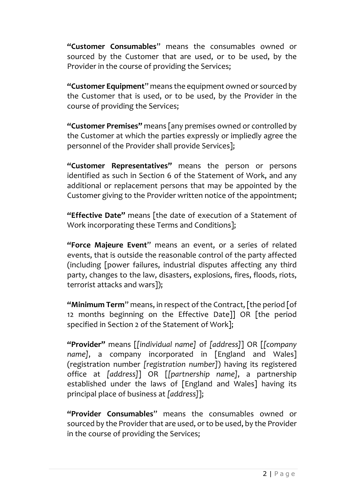**"Customer Consumables**" means the consumables owned or sourced by the Customer that are used, or to be used, by the Provider in the course of providing the Services;

**"Customer Equipment**" means the equipment owned or sourced by the Customer that is used, or to be used, by the Provider in the course of providing the Services;

**"Customer Premises"** means [any premises owned or controlled by the Customer at which the parties expressly or impliedly agree the personnel of the Provider shall provide Services];

**"Customer Representatives"** means the person or persons identified as such in Section 6 of the Statement of Work, and any additional or replacement persons that may be appointed by the Customer giving to the Provider written notice of the appointment;

**"Effective Date"** means [the date of execution of a Statement of Work incorporating these Terms and Conditions];

**"Force Majeure Event**" means an event, or a series of related events, that is outside the reasonable control of the party affected (including [power failures, industrial disputes affecting any third party, changes to the law, disasters, explosions, fires, floods, riots, terrorist attacks and wars]);

**"Minimum Term**" means, in respect of the Contract, [the period [of 12 months beginning on the Effective Date]] OR [the period specified in Section 2 of the Statement of Work];

**"Provider"** means [*[individual name]* of *[address]*] OR [*[company*  name], a company incorporated in [England and Wales] (registration number *[registration number]*) having its registered office at *[address]*] OR [*[partnership name]*, a partnership established under the laws of [England and Wales] having its principal place of business at *[address]*];

**"Provider Consumables**" means the consumables owned or sourced by the Provider that are used, or to be used, by the Provider in the course of providing the Services;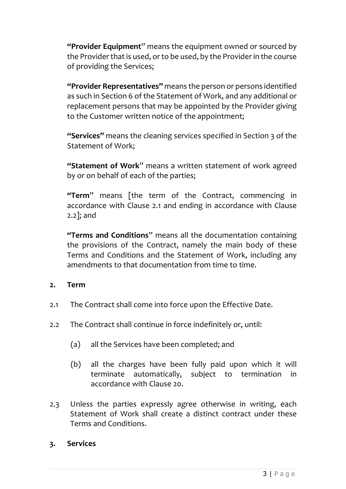**"Provider Equipment**" means the equipment owned or sourced by the Provider that is used, or to be used, by the Provider in the course of providing the Services;

**"Provider Representatives"** means the person or persons identified as such in Section 6 of the Statement of Work, and any additional or replacement persons that may be appointed by the Provider giving to the Customer written notice of the appointment;

**"Services"** means the cleaning services specified in Section 3 of the Statement of Work;

**"Statement of Work**" means a written statement of work agreed by or on behalf of each of the parties;

**"Term**" means [the term of the Contract, commencing in accordance with Clause 2.1 and ending in accordance with Clause 2.2]; and

**"Terms and Conditions**" means all the documentation containing the provisions of the Contract, namely the main body of these Terms and Conditions and the Statement of Work, including any amendments to that documentation from time to time.

## **2. Term**

- 2.1 The Contract shall come into force upon the Effective Date.
- 2.2 The Contract shall continue in force indefinitely or, until:
	- (a) all the Services have been completed; and
	- (b) all the charges have been fully paid upon which it will terminate automatically, subject to termination in accordance with Clause 20.
- 2.3 Unless the parties expressly agree otherwise in writing, each Statement of Work shall create a distinct contract under these Terms and Conditions.

### **3. Services**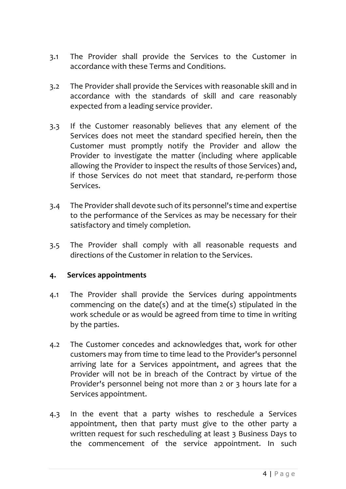- 3.1 The Provider shall provide the Services to the Customer in accordance with these Terms and Conditions.
- 3.2 The Provider shall provide the Services with reasonable skill and in accordance with the standards of skill and care reasonably expected from a leading service provider.
- 3.3 If the Customer reasonably believes that any element of the Services does not meet the standard specified herein, then the Customer must promptly notify the Provider and allow the Provider to investigate the matter (including where applicable allowing the Provider to inspect the results of those Services) and, if those Services do not meet that standard, re-perform those Services.
- 3.4 The Provider shall devote such of its personnel's time and expertise to the performance of the Services as may be necessary for their satisfactory and timely completion.
- 3.5 The Provider shall comply with all reasonable requests and directions of the Customer in relation to the Services.

### **4. Services appointments**

- 4.1 The Provider shall provide the Services during appointments commencing on the date(s) and at the time(s) stipulated in the work schedule or as would be agreed from time to time in writing by the parties.
- 4.2 The Customer concedes and acknowledges that, work for other customers may from time to time lead to the Provider's personnel arriving late for a Services appointment, and agrees that the Provider will not be in breach of the Contract by virtue of the Provider's personnel being not more than 2 or 3 hours late for a Services appointment.
- 4.3 In the event that a party wishes to reschedule a Services appointment, then that party must give to the other party a written request for such rescheduling at least 3 Business Days to the commencement of the service appointment. In such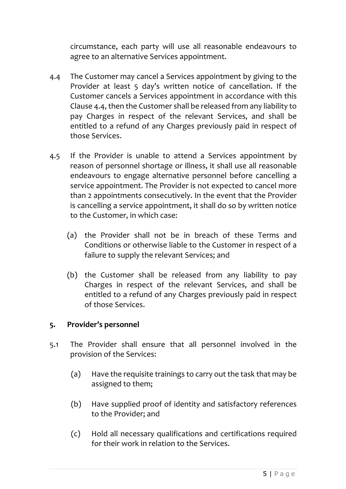circumstance, each party will use all reasonable endeavours to agree to an alternative Services appointment.

- 4.4 The Customer may cancel a Services appointment by giving to the Provider at least 5 day's written notice of cancellation. If the Customer cancels a Services appointment in accordance with this Clause 4.4, then the Customer shall be released from any liability to pay Charges in respect of the relevant Services, and shall be entitled to a refund of any Charges previously paid in respect of those Services.
- 4.5 If the Provider is unable to attend a Services appointment by reason of personnel shortage or illness, it shall use all reasonable endeavours to engage alternative personnel before cancelling a service appointment. The Provider is not expected to cancel more than 2 appointments consecutively. In the event that the Provider is cancelling a service appointment, it shall do so by written notice to the Customer, in which case:
	- (a) the Provider shall not be in breach of these Terms and Conditions or otherwise liable to the Customer in respect of a failure to supply the relevant Services; and
	- (b) the Customer shall be released from any liability to pay Charges in respect of the relevant Services, and shall be entitled to a refund of any Charges previously paid in respect of those Services.

## **5. Provider's personnel**

- 5.1 The Provider shall ensure that all personnel involved in the provision of the Services:
	- (a) Have the requisite trainings to carry out the task that may be assigned to them;
	- (b) Have supplied proof of identity and satisfactory references to the Provider; and
	- (c) Hold all necessary qualifications and certifications required for their work in relation to the Services.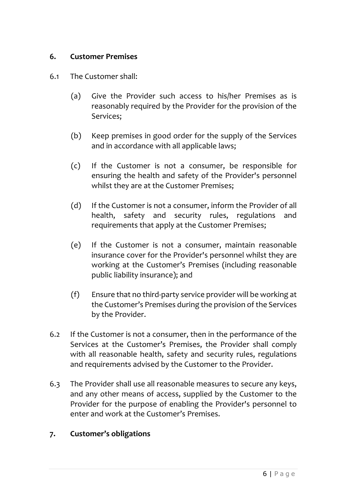### **6. Customer Premises**

- 6.1 The Customer shall:
	- (a) Give the Provider such access to his/her Premises as is reasonably required by the Provider for the provision of the Services;
	- (b) Keep premises in good order for the supply of the Services and in accordance with all applicable laws;
	- (c) If the Customer is not a consumer, be responsible for ensuring the health and safety of the Provider's personnel whilst they are at the Customer Premises;
	- (d) If the Customer is not a consumer, inform the Provider of all health, safety and security rules, regulations and requirements that apply at the Customer Premises;
	- (e) If the Customer is not a consumer, maintain reasonable insurance cover for the Provider's personnel whilst they are working at the Customer's Premises (including reasonable public liability insurance); and
	- (f) Ensure that no third-party service provider will be working at the Customer's Premises during the provision of the Services by the Provider.
- 6.2 If the Customer is not a consumer, then in the performance of the Services at the Customer's Premises, the Provider shall comply with all reasonable health, safety and security rules, regulations and requirements advised by the Customer to the Provider.
- 6.3 The Provider shall use all reasonable measures to secure any keys, and any other means of access, supplied by the Customer to the Provider for the purpose of enabling the Provider's personnel to enter and work at the Customer's Premises.

## **7. Customer's obligations**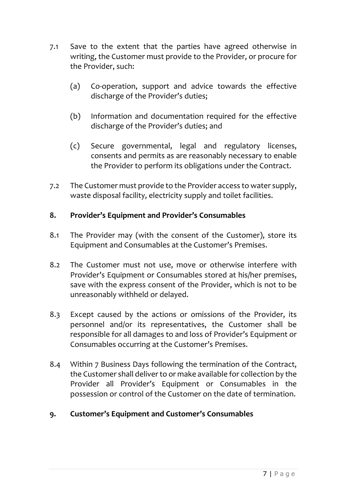- 7.1 Save to the extent that the parties have agreed otherwise in writing, the Customer must provide to the Provider, or procure for the Provider, such:
	- (a) Co-operation, support and advice towards the effective discharge of the Provider's duties;
	- (b) Information and documentation required for the effective discharge of the Provider's duties; and
	- (c) Secure governmental, legal and regulatory licenses, consents and permits as are reasonably necessary to enable the Provider to perform its obligations under the Contract.
- 7.2 The Customer must provide to the Provider access to water supply, waste disposal facility, electricity supply and toilet facilities.

### **8. Provider's Equipment and Provider's Consumables**

- 8.1 The Provider may (with the consent of the Customer), store its Equipment and Consumables at the Customer's Premises.
- 8.2 The Customer must not use, move or otherwise interfere with Provider's Equipment or Consumables stored at his/her premises, save with the express consent of the Provider, which is not to be unreasonably withheld or delayed.
- 8.3 Except caused by the actions or omissions of the Provider, its personnel and/or its representatives, the Customer shall be responsible for all damages to and loss of Provider's Equipment or Consumables occurring at the Customer's Premises.
- 8.4 Within 7 Business Days following the termination of the Contract, the Customer shall deliver to or make available for collection by the Provider all Provider's Equipment or Consumables in the possession or control of the Customer on the date of termination.
- **9. Customer's Equipment and Customer's Consumables**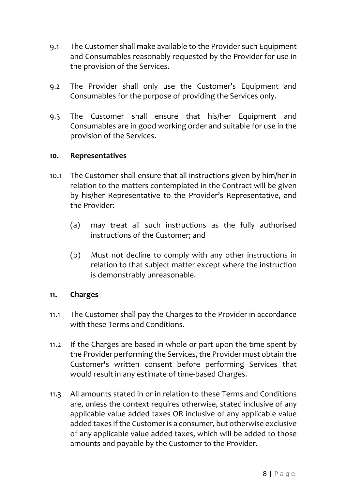- 9.1 The Customer shall make available to the Provider such Equipment and Consumables reasonably requested by the Provider for use in the provision of the Services.
- 9.2 The Provider shall only use the Customer's Equipment and Consumables for the purpose of providing the Services only.
- 9.3 The Customer shall ensure that his/her Equipment and Consumables are in good working order and suitable for use in the provision of the Services.

### **10. Representatives**

- 10.1 The Customer shall ensure that all instructions given by him/her in relation to the matters contemplated in the Contract will be given by his/her Representative to the Provider's Representative, and the Provider:
	- (a) may treat all such instructions as the fully authorised instructions of the Customer; and
	- (b) Must not decline to comply with any other instructions in relation to that subject matter except where the instruction is demonstrably unreasonable.

### **11. Charges**

- 11.1 The Customer shall pay the Charges to the Provider in accordance with these Terms and Conditions.
- 11.2 If the Charges are based in whole or part upon the time spent by the Provider performing the Services, the Provider must obtain the Customer's written consent before performing Services that would result in any estimate of time-based Charges.
- 11.3 All amounts stated in or in relation to these Terms and Conditions are, unless the context requires otherwise, stated inclusive of any applicable value added taxes OR inclusive of any applicable value added taxes if the Customer is a consumer, but otherwise exclusive of any applicable value added taxes, which will be added to those amounts and payable by the Customer to the Provider.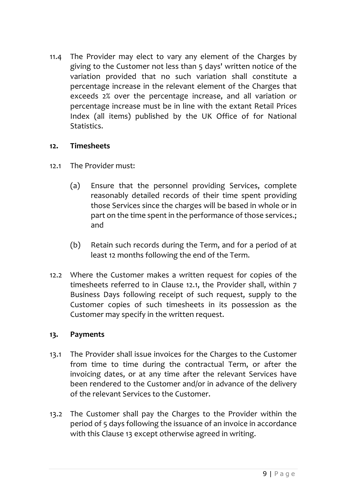11.4 The Provider may elect to vary any element of the Charges by giving to the Customer not less than 5 days' written notice of the variation provided that no such variation shall constitute a percentage increase in the relevant element of the Charges that exceeds 2% over the percentage increase, and all variation or percentage increase must be in line with the extant Retail Prices Index (all items) published by the UK Office of for National Statistics.

### **12. Timesheets**

- 12.1 The Provider must:
	- (a) Ensure that the personnel providing Services, complete reasonably detailed records of their time spent providing those Services since the charges will be based in whole or in part on the time spent in the performance of those services.; and
	- (b) Retain such records during the Term, and for a period of at least 12 months following the end of the Term.
- 12.2 Where the Customer makes a written request for copies of the timesheets referred to in Clause 12.1, the Provider shall, within 7 Business Days following receipt of such request, supply to the Customer copies of such timesheets in its possession as the Customer may specify in the written request.

## **13. Payments**

- 13.1 The Provider shall issue invoices for the Charges to the Customer from time to time during the contractual Term, or after the invoicing dates, or at any time after the relevant Services have been rendered to the Customer and/or in advance of the delivery of the relevant Services to the Customer.
- 13.2 The Customer shall pay the Charges to the Provider within the period of 5 days following the issuance of an invoice in accordance with this Clause 13 except otherwise agreed in writing.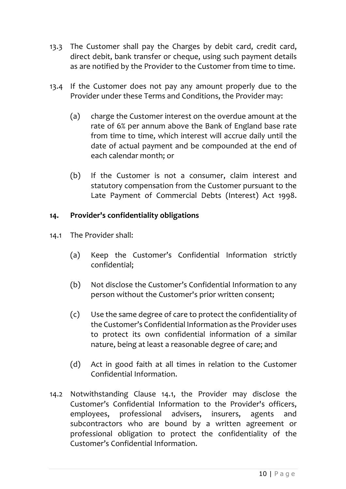- 13.3 The Customer shall pay the Charges by debit card, credit card, direct debit, bank transfer or cheque, using such payment details as are notified by the Provider to the Customer from time to time.
- 13.4 If the Customer does not pay any amount properly due to the Provider under these Terms and Conditions, the Provider may:
	- (a) charge the Customer interest on the overdue amount at the rate of 6% per annum above the Bank of England base rate from time to time, which interest will accrue daily until the date of actual payment and be compounded at the end of each calendar month; or
	- (b) If the Customer is not a consumer, claim interest and statutory compensation from the Customer pursuant to the Late Payment of Commercial Debts (Interest) Act 1998.

# **14. Provider's confidentiality obligations**

- 14.1 The Provider shall:
	- (a) Keep the Customer's Confidential Information strictly confidential;
	- (b) Not disclose the Customer's Confidential Information to any person without the Customer's prior written consent;
	- (c) Use the same degree of care to protect the confidentiality of the Customer's Confidential Information as the Provider uses to protect its own confidential information of a similar nature, being at least a reasonable degree of care; and
	- (d) Act in good faith at all times in relation to the Customer Confidential Information.
- 14.2 Notwithstanding Clause 14.1, the Provider may disclose the Customer's Confidential Information to the Provider's officers, employees, professional advisers, insurers, agents and subcontractors who are bound by a written agreement or professional obligation to protect the confidentiality of the Customer's Confidential Information.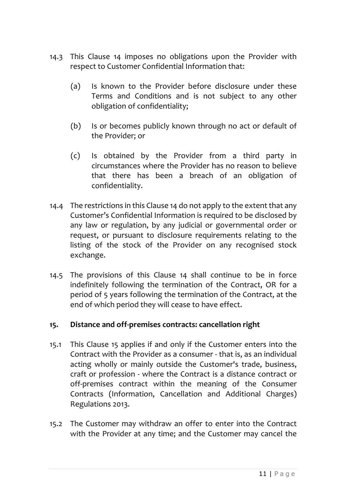- 14.3 This Clause 14 imposes no obligations upon the Provider with respect to Customer Confidential Information that:
	- (a) Is known to the Provider before disclosure under these Terms and Conditions and is not subject to any other obligation of confidentiality;
	- (b) Is or becomes publicly known through no act or default of the Provider; or
	- (c) Is obtained by the Provider from a third party in circumstances where the Provider has no reason to believe that there has been a breach of an obligation of confidentiality.
- 14.4 The restrictions in this Clause 14 do not apply to the extent that any Customer's Confidential Information is required to be disclosed by any law or regulation, by any judicial or governmental order or request, or pursuant to disclosure requirements relating to the listing of the stock of the Provider on any recognised stock exchange.
- 14.5 The provisions of this Clause 14 shall continue to be in force indefinitely following the termination of the Contract, OR for a period of 5 years following the termination of the Contract, at the end of which period they will cease to have effect.

## **15. Distance and off-premises contracts: cancellation right**

- 15.1 This Clause 15 applies if and only if the Customer enters into the Contract with the Provider as a consumer - that is, as an individual acting wholly or mainly outside the Customer's trade, business, craft or profession - where the Contract is a distance contract or off-premises contract within the meaning of the Consumer Contracts (Information, Cancellation and Additional Charges) Regulations 2013.
- 15.2 The Customer may withdraw an offer to enter into the Contract with the Provider at any time; and the Customer may cancel the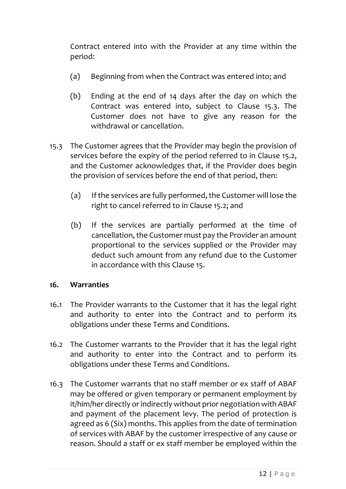Contract entered into with the Provider at any time within the period:

- (a) Beginning from when the Contract was entered into; and
- (b) Ending at the end of 14 days after the day on which the Contract was entered into, subject to Clause 15.3. The Customer does not have to give any reason for the withdrawal or cancellation.
- 15.3 The Customer agrees that the Provider may begin the provision of services before the expiry of the period referred to in Clause 15.2, and the Customer acknowledges that, if the Provider does begin the provision of services before the end of that period, then:
	- (a) If the services are fully performed, the Customer will lose the right to cancel referred to in Clause 15.2; and
	- (b) If the services are partially performed at the time of cancellation, the Customer must pay the Provider an amount proportional to the services supplied or the Provider may deduct such amount from any refund due to the Customer in accordance with this Clause 15.

### **16. Warranties**

- 16.1 The Provider warrants to the Customer that it has the legal right and authority to enter into the Contract and to perform its obligations under these Terms and Conditions.
- 16.2 The Customer warrants to the Provider that it has the legal right and authority to enter into the Contract and to perform its obligations under these Terms and Conditions.
- 16.3 The Customer warrants that no staff member or ex staff of ABAF may be offered or given temporary or permanent employment by it/him/her directly or indirectly without prior negotiation with ABAF and payment of the placement levy. The period of protection is agreed as 6 (Six) months. This applies from the date of termination of services with ABAF by the customer irrespective of any cause or reason. Should a staff or ex staff member be employed within the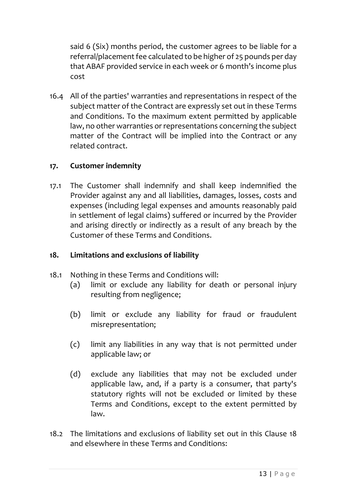said 6 (Six) months period, the customer agrees to be liable for a referral/placement fee calculated to be higher of 25 pounds per day that ABAF provided service in each week or 6 month's income plus cost

16.4 All of the parties' warranties and representations in respect of the subject matter of the Contract are expressly set out in these Terms and Conditions. To the maximum extent permitted by applicable law, no other warranties or representations concerning the subject matter of the Contract will be implied into the Contract or any related contract.

## **17. Customer indemnity**

17.1 The Customer shall indemnify and shall keep indemnified the Provider against any and all liabilities, damages, losses, costs and expenses (including legal expenses and amounts reasonably paid in settlement of legal claims) suffered or incurred by the Provider and arising directly or indirectly as a result of any breach by the Customer of these Terms and Conditions.

## **18. Limitations and exclusions of liability**

- 18.1 Nothing in these Terms and Conditions will:
	- (a) limit or exclude any liability for death or personal injury resulting from negligence;
	- (b) limit or exclude any liability for fraud or fraudulent misrepresentation;
	- (c) limit any liabilities in any way that is not permitted under applicable law; or
	- (d) exclude any liabilities that may not be excluded under applicable law, and, if a party is a consumer, that party's statutory rights will not be excluded or limited by these Terms and Conditions, except to the extent permitted by law.
- 18.2 The limitations and exclusions of liability set out in this Clause 18 and elsewhere in these Terms and Conditions: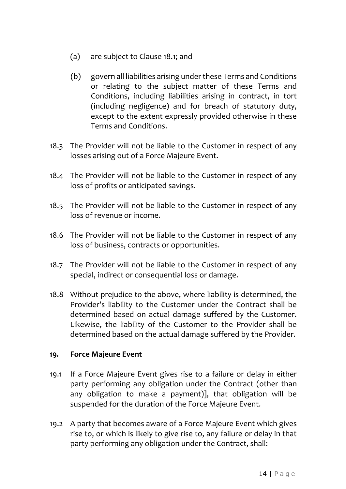- (a) are subject to Clause 18.1; and
- (b) govern all liabilities arising under these Terms and Conditions or relating to the subject matter of these Terms and Conditions, including liabilities arising in contract, in tort (including negligence) and for breach of statutory duty, except to the extent expressly provided otherwise in these Terms and Conditions.
- 18.3 The Provider will not be liable to the Customer in respect of any losses arising out of a Force Majeure Event.
- 18.4 The Provider will not be liable to the Customer in respect of any loss of profits or anticipated savings.
- 18.5 The Provider will not be liable to the Customer in respect of any loss of revenue or income.
- 18.6 The Provider will not be liable to the Customer in respect of any loss of business, contracts or opportunities.
- 18.7 The Provider will not be liable to the Customer in respect of any special, indirect or consequential loss or damage.
- 18.8 Without prejudice to the above, where liability is determined, the Provider's liability to the Customer under the Contract shall be determined based on actual damage suffered by the Customer. Likewise, the liability of the Customer to the Provider shall be determined based on the actual damage suffered by the Provider.

## **19. Force Majeure Event**

- 19.1 If a Force Majeure Event gives rise to a failure or delay in either party performing any obligation under the Contract (other than any obligation to make a payment)], that obligation will be suspended for the duration of the Force Majeure Event.
- 19.2 A party that becomes aware of a Force Majeure Event which gives rise to, or which is likely to give rise to, any failure or delay in that party performing any obligation under the Contract, shall: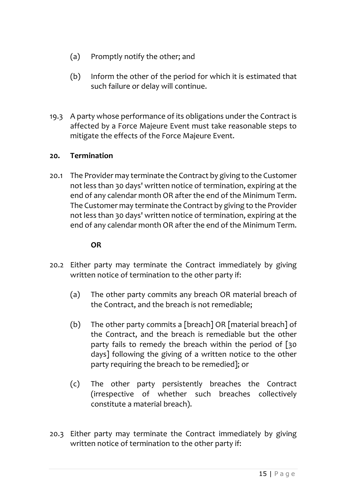- (a) Promptly notify the other; and
- (b) Inform the other of the period for which it is estimated that such failure or delay will continue.
- 19.3 A party whose performance of its obligations under the Contract is affected by a Force Majeure Event must take reasonable steps to mitigate the effects of the Force Majeure Event.

### **20. Termination**

20.1 The Provider may terminate the Contract by giving to the Customer not less than 30 days' written notice of termination, expiring at the end of any calendar month OR after the end of the Minimum Term. The Customer may terminate the Contract by giving to the Provider not less than 30 days' written notice of termination, expiring at the end of any calendar month OR after the end of the Minimum Term.

### **OR**

- 20.2 Either party may terminate the Contract immediately by giving written notice of termination to the other party if:
	- (a) The other party commits any breach OR material breach of the Contract, and the breach is not remediable;
	- (b) The other party commits a [breach] OR [material breach] of the Contract, and the breach is remediable but the other party fails to remedy the breach within the period of [30 days] following the giving of a written notice to the other party requiring the breach to be remedied]; or
	- (c) The other party persistently breaches the Contract (irrespective of whether such breaches collectively constitute a material breach).
- 20.3 Either party may terminate the Contract immediately by giving written notice of termination to the other party if: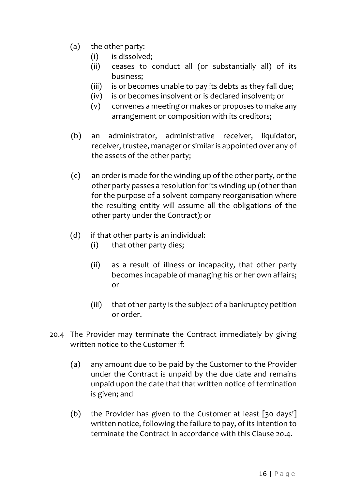- (a) the other party:
	- (i) is dissolved;
	- (ii) ceases to conduct all (or substantially all) of its business;
	- (iii) is or becomes unable to pay its debts as they fall due;
	- (iv) is or becomes insolvent or is declared insolvent; or
	- (v) convenes a meeting or makes or proposes to make any arrangement or composition with its creditors;
- (b) an administrator, administrative receiver, liquidator, receiver, trustee, manager or similar is appointed over any of the assets of the other party;
- (c) an order is made for the winding up of the other party, or the other party passes a resolution for its winding up (other than for the purpose of a solvent company reorganisation where the resulting entity will assume all the obligations of the other party under the Contract); or
- (d) if that other party is an individual:
	- (i) that other party dies;
	- (ii) as a result of illness or incapacity, that other party becomes incapable of managing his or her own affairs; or
	- (iii) that other party is the subject of a bankruptcy petition or order.
- 20.4 The Provider may terminate the Contract immediately by giving written notice to the Customer if:
	- (a) any amount due to be paid by the Customer to the Provider under the Contract is unpaid by the due date and remains unpaid upon the date that that written notice of termination is given; and
	- (b) the Provider has given to the Customer at least [30 days'] written notice, following the failure to pay, of its intention to terminate the Contract in accordance with this Clause 20.4.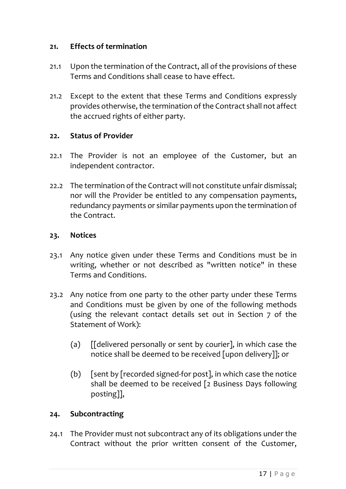### **21. Effects of termination**

- 21.1 Upon the termination of the Contract, all of the provisions of these Terms and Conditions shall cease to have effect.
- 21.2 Except to the extent that these Terms and Conditions expressly provides otherwise, the termination of the Contract shall not affect the accrued rights of either party.

### **22. Status of Provider**

- 22.1 The Provider is not an employee of the Customer, but an independent contractor.
- 22.2 The termination of the Contract will not constitute unfair dismissal; nor will the Provider be entitled to any compensation payments, redundancy payments or similar payments upon the termination of the Contract.

### **23. Notices**

- 23.1 Any notice given under these Terms and Conditions must be in writing, whether or not described as "written notice" in these Terms and Conditions.
- 23.2 Any notice from one party to the other party under these Terms and Conditions must be given by one of the following methods (using the relevant contact details set out in Section 7 of the Statement of Work):
	- (a) [[delivered personally or sent by courier], in which case the notice shall be deemed to be received [upon delivery]]; or
	- (b) [sent by [recorded signed-for post], in which case the notice shall be deemed to be received [2 Business Days following posting]],

## **24. Subcontracting**

24.1 The Provider must not subcontract any of its obligations under the Contract without the prior written consent of the Customer,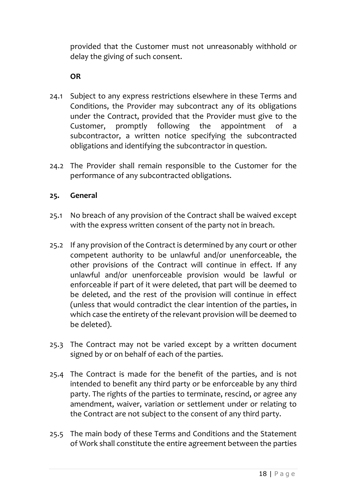provided that the Customer must not unreasonably withhold or delay the giving of such consent.

**OR**

- 24.1 Subject to any express restrictions elsewhere in these Terms and Conditions, the Provider may subcontract any of its obligations under the Contract, provided that the Provider must give to the Customer, promptly following the appointment of subcontractor, a written notice specifying the subcontracted obligations and identifying the subcontractor in question.
- 24.2 The Provider shall remain responsible to the Customer for the performance of any subcontracted obligations.

# **25. General**

- 25.1 No breach of any provision of the Contract shall be waived except with the express written consent of the party not in breach.
- 25.2 If any provision of the Contract is determined by any court or other competent authority to be unlawful and/or unenforceable, the other provisions of the Contract will continue in effect. If any unlawful and/or unenforceable provision would be lawful or enforceable if part of it were deleted, that part will be deemed to be deleted, and the rest of the provision will continue in effect (unless that would contradict the clear intention of the parties, in which case the entirety of the relevant provision will be deemed to be deleted).
- 25.3 The Contract may not be varied except by a written document signed by or on behalf of each of the parties.
- 25.4 The Contract is made for the benefit of the parties, and is not intended to benefit any third party or be enforceable by any third party. The rights of the parties to terminate, rescind, or agree any amendment, waiver, variation or settlement under or relating to the Contract are not subject to the consent of any third party.
- 25.5 The main body of these Terms and Conditions and the Statement of Work shall constitute the entire agreement between the parties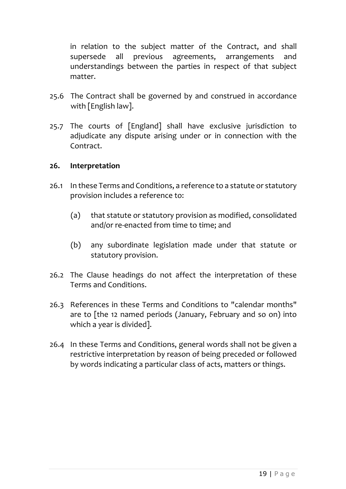in relation to the subject matter of the Contract, and shall supersede all previous agreements, arrangements and understandings between the parties in respect of that subject matter.

- 25.6 The Contract shall be governed by and construed in accordance with [English law].
- 25.7 The courts of [England] shall have exclusive jurisdiction to adjudicate any dispute arising under or in connection with the Contract.

#### **26. Interpretation**

- 26.1 In these Terms and Conditions, a reference to a statute or statutory provision includes a reference to:
	- (a) that statute or statutory provision as modified, consolidated and/or re-enacted from time to time; and
	- (b) any subordinate legislation made under that statute or statutory provision.
- 26.2 The Clause headings do not affect the interpretation of these Terms and Conditions.
- 26.3 References in these Terms and Conditions to "calendar months" are to [the 12 named periods (January, February and so on) into which a year is divided].
- 26.4 In these Terms and Conditions, general words shall not be given a restrictive interpretation by reason of being preceded or followed by words indicating a particular class of acts, matters or things.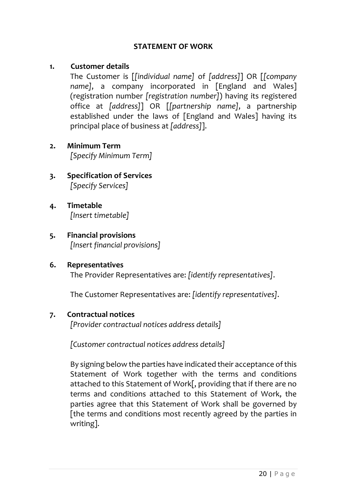### **STATEMENT OF WORK**

### **1. Customer details**

The Customer is [*[individual name]* of *[address]*] OR [*[company name]*, a company incorporated in [England and Wales] (registration number *[registration number]*) having its registered office at *[address]*] OR [*[partnership name]*, a partnership established under the laws of [England and Wales] having its principal place of business at *[address]*].

- **2. Minimum Term** *[Specify Minimum Term]*
- **3. Specification of Services** *[Specify Services]*
- **4. Timetable** *[Insert timetable]*
- **5. Financial provisions** *[Insert financial provisions]*
- **6. Representatives** The Provider Representatives are: *[identify representatives]*.

The Customer Representatives are: *[identify representatives]*.

### **7. Contractual notices**

*[Provider contractual notices address details]*

*[Customer contractual notices address details]*

By signing below the parties have indicated their acceptance of this Statement of Work together with the terms and conditions attached to this Statement of Work[, providing that if there are no terms and conditions attached to this Statement of Work, the parties agree that this Statement of Work shall be governed by [the terms and conditions most recently agreed by the parties in writing].